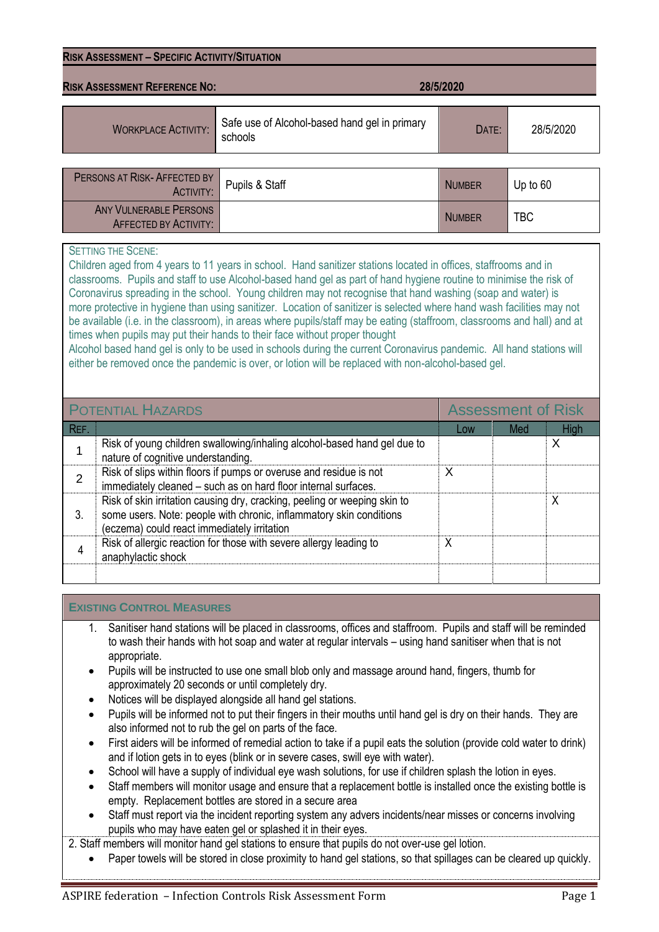| <b>RISK ASSESSMENT - SPECIFIC ACTIVITY/SITUATION</b> |                                                          |               |           |  |  |  |  |
|------------------------------------------------------|----------------------------------------------------------|---------------|-----------|--|--|--|--|
| <b>RISK ASSESSMENT REFERENCE NO:</b><br>28/5/2020    |                                                          |               |           |  |  |  |  |
| <b>WORKPLACE ACTIVITY:</b>                           | Safe use of Alcohol-based hand gel in primary<br>schools | DATE:         | 28/5/2020 |  |  |  |  |
|                                                      |                                                          |               |           |  |  |  |  |
| PERSONS AT RISK-AFFECTED BY<br><b>ACTIVITY:</b>      | Pupils & Staff                                           | <b>NUMBER</b> | Up to 60  |  |  |  |  |

NUMBER **TBC** 

## SETTING THE SCENE:

ANY VULNERABLE PERSONS AFFECTED BY ACTIVITY:

Children aged from 4 years to 11 years in school. Hand sanitizer stations located in offices, staffrooms and in classrooms. Pupils and staff to use Alcohol-based hand gel as part of hand hygiene routine to minimise the risk of Coronavirus spreading in the school. Young children may not recognise that hand washing (soap and water) is more protective in hygiene than using sanitizer. Location of sanitizer is selected where hand wash facilities may not be available (i.e. in the classroom), in areas where pupils/staff may be eating (staffroom, classrooms and hall) and at times when pupils may put their hands to their face without proper thought

Alcohol based hand gel is only to be used in schools during the current Coronavirus pandemic. All hand stations will either be removed once the pandemic is over, or lotion will be replaced with non-alcohol-based gel.

|      | <b>POTENTIAL HAZARDS</b>                                                                                                                                                                        | <b>Assessment of Risk</b> |     |      |  |
|------|-------------------------------------------------------------------------------------------------------------------------------------------------------------------------------------------------|---------------------------|-----|------|--|
| REF. |                                                                                                                                                                                                 | Low                       | Med | High |  |
|      | Risk of young children swallowing/inhaling alcohol-based hand gel due to<br>nature of cognitive understanding.                                                                                  |                           |     |      |  |
|      | Risk of slips within floors if pumps or overuse and residue is not<br>immediately cleaned - such as on hard floor internal surfaces.                                                            | x                         |     |      |  |
| 3.   | Risk of skin irritation causing dry, cracking, peeling or weeping skin to<br>some users. Note: people with chronic, inflammatory skin conditions<br>(eczema) could react immediately irritation |                           |     |      |  |
|      | Risk of allergic reaction for those with severe allergy leading to<br>anaphylactic shock                                                                                                        | Χ                         |     |      |  |
|      |                                                                                                                                                                                                 |                           |     |      |  |

## **EXISTING CONTROL MEASURES**

- 1. Sanitiser hand stations will be placed in classrooms, offices and staffroom. Pupils and staff will be reminded to wash their hands with hot soap and water at regular intervals – using hand sanitiser when that is not appropriate.
- Pupils will be instructed to use one small blob only and massage around hand, fingers, thumb for approximately 20 seconds or until completely dry.
- Notices will be displayed alongside all hand gel stations.
- Pupils will be informed not to put their fingers in their mouths until hand gel is dry on their hands. They are also informed not to rub the gel on parts of the face.
- First aiders will be informed of remedial action to take if a pupil eats the solution (provide cold water to drink) and if lotion gets in to eyes (blink or in severe cases, swill eye with water).
- School will have a supply of individual eye wash solutions, for use if children splash the lotion in eyes.
- Staff members will monitor usage and ensure that a replacement bottle is installed once the existing bottle is empty. Replacement bottles are stored in a secure area
- Staff must report via the incident reporting system any advers incidents/near misses or concerns involving pupils who may have eaten gel or splashed it in their eyes.

2. Staff members will monitor hand gel stations to ensure that pupils do not over-use gel lotion.

• Paper towels will be stored in close proximity to hand gel stations, so that spillages can be cleared up quickly.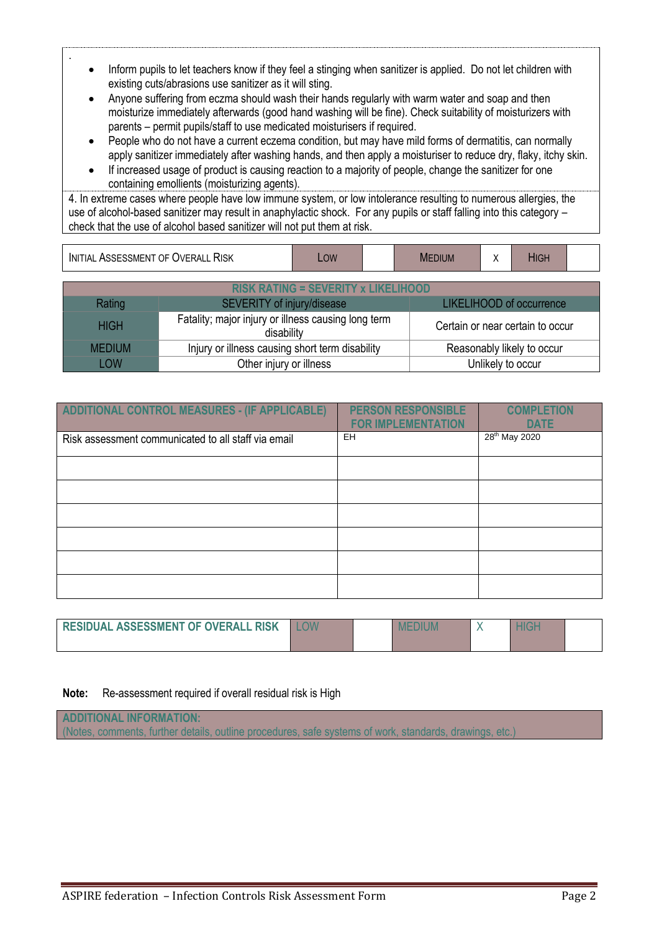- Inform pupils to let teachers know if they feel a stinging when sanitizer is applied. Do not let children with existing cuts/abrasions use sanitizer as it will sting.
- Anyone suffering from eczma should wash their hands regularly with warm water and soap and then moisturize immediately afterwards (good hand washing will be fine). Check suitability of moisturizers with parents – permit pupils/staff to use medicated moisturisers if required.
- People who do not have a current eczema condition, but may have mild forms of dermatitis, can normally apply sanitizer immediately after washing hands, and then apply a moisturiser to reduce dry, flaky, itchy skin.
- If increased usage of product is causing reaction to a majority of people, change the sanitizer for one containing emollients (moisturizing agents).

4. In extreme cases where people have low immune system, or low intolerance resulting to numerous allergies, the use of alcohol-based sanitizer may result in anaphylactic shock. For any pupils or staff falling into this category – check that the use of alcohol based sanitizer will not put them at risk.

| OVERALL<br>RISK<br>ASSESSMENT OF<br>INITIAL | LOW |  | diun<br>ME | . . | $\mathbf{1}$<br>пы. |  |
|---------------------------------------------|-----|--|------------|-----|---------------------|--|
|---------------------------------------------|-----|--|------------|-----|---------------------|--|

| <b>RISK RATING = SEVERITY x LIKELIHOOD</b> |                                                                   |                                  |  |  |  |  |
|--------------------------------------------|-------------------------------------------------------------------|----------------------------------|--|--|--|--|
| Rating                                     | SEVERITY of injury/disease                                        | LIKELIHOOD of occurrence         |  |  |  |  |
| <b>HIGH</b>                                | Fatality; major injury or illness causing long term<br>disability | Certain or near certain to occur |  |  |  |  |
| <b>MEDIUM</b>                              | Injury or illness causing short term disability                   | Reasonably likely to occur       |  |  |  |  |
| LOW                                        | Other injury or illness                                           | Unlikely to occur                |  |  |  |  |

| ADDITIONAL CONTROL MEASURES - (IF APPLICABLE)       | <b>PERSON RESPONSIBLE</b><br><b>FOR IMPLEMENTATION</b> | <b>COMPLETION</b><br><b>DATE</b> |
|-----------------------------------------------------|--------------------------------------------------------|----------------------------------|
| Risk assessment communicated to all staff via email | <b>EH</b>                                              | 28 <sup>th</sup> May 2020        |
|                                                     |                                                        |                                  |
|                                                     |                                                        |                                  |
|                                                     |                                                        |                                  |
|                                                     |                                                        |                                  |
|                                                     |                                                        |                                  |
|                                                     |                                                        |                                  |

| <b>RESIDUAL ASSESSMENT OF OVERALL RISK</b> |  |  |  |
|--------------------------------------------|--|--|--|
|                                            |  |  |  |

**Note:** Re-assessment required if overall residual risk is High

.

**ADDITIONAL INFORMATION:** (Notes, comments, further details, outline procedures, safe systems of work, standards, drawings, etc.)